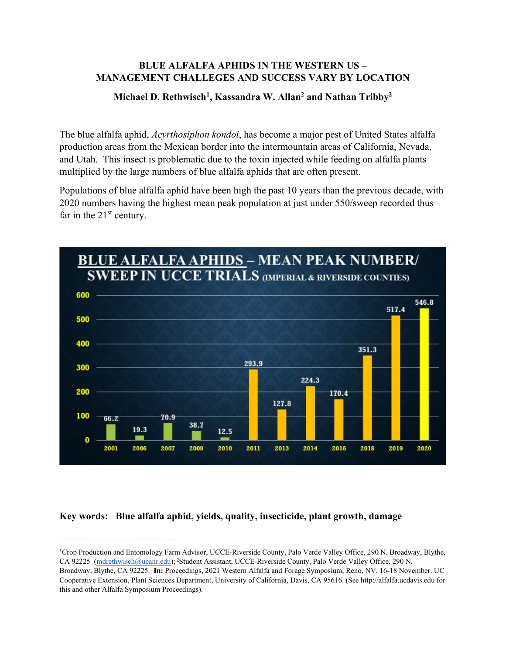## **BLUE ALFALFA APHIDS IN THE WESTERN US – MANAGEMENT CHALLEGES AND SUCCESS VARY BY LOCATION**

## **Michael D. Rethwisch1, Kassandra W. Allan2 and Nathan Tribby2**

The blue alfalfa aphid, *Acyrthosiphon kondoi*, has become a major pest of United States alfalfa production areas from the Mexican border into the intermountain areas of California, Nevada, and Utah. This insect is problematic due to the toxin injected while feeding on alfalfa plants multiplied by the large numbers of blue alfalfa aphids that are often present.

Populations of blue alfalfa aphid have been high the past 10 years than the previous decade, with 2020 numbers having the highest mean peak population at just under 550/sweep recorded thus far in the  $21<sup>st</sup>$  century.



# **Key words: Blue alfalfa aphid, yields, quality, insecticide, plant growth, damage**

<sup>1</sup>Crop Production and Entomology Farm Advisor, UCCE-Riverside County, Palo Verde Valley Office, 290 N. Broadway, Blythe, CA 92225 [\(mdrethwisch@ucanr.edu\)](mailto:mdrethwisch@ucanr.edu); <sup>2</sup>Student Assistant, UCCE-Riverside County, Palo Verde Valley Office, 290 N.

Broadway, Blythe, CA 92225. **In:** Proceedings, 2021 Western Alfalfa and Forage Symposium, Reno, NV, 16-18 November. UC Cooperative Extension, Plant Sciences Department, University of California, Davis, CA 95616. (See http://alfalfa.ucdavis.edu for this and other Alfalfa Symposium Proceedings).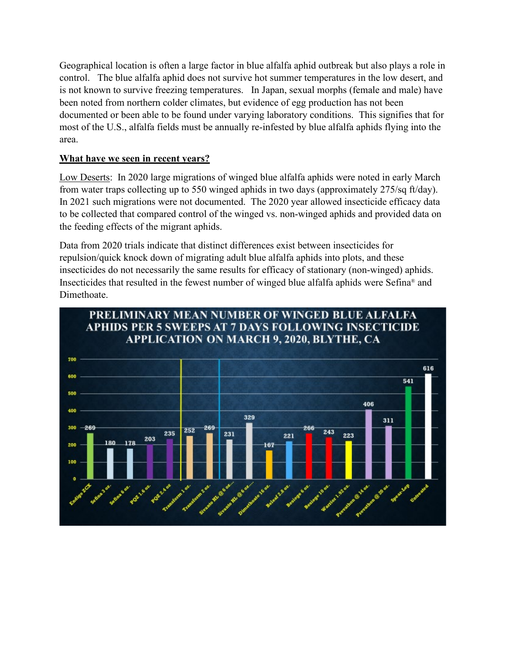Geographical location is often a large factor in blue alfalfa aphid outbreak but also plays a role in control. The blue alfalfa aphid does not survive hot summer temperatures in the low desert, and is not known to survive freezing temperatures. In Japan, sexual morphs (female and male) have been noted from northern colder climates, but evidence of egg production has not been documented or been able to be found under varying laboratory conditions. This signifies that for most of the U.S., alfalfa fields must be annually re-infested by blue alfalfa aphids flying into the area.

## **What have we seen in recent years?**

Low Deserts: In 2020 large migrations of winged blue alfalfa aphids were noted in early March from water traps collecting up to 550 winged aphids in two days (approximately 275/sq ft/day). In 2021 such migrations were not documented. The 2020 year allowed insecticide efficacy data to be collected that compared control of the winged vs. non-winged aphids and provided data on the feeding effects of the migrant aphids.

Data from 2020 trials indicate that distinct differences exist between insecticides for repulsion/quick knock down of migrating adult blue alfalfa aphids into plots, and these insecticides do not necessarily the same results for efficacy of stationary (non-winged) aphids. Insecticides that resulted in the fewest number of winged blue alfalfa aphids were Sefina® and Dimethoate.

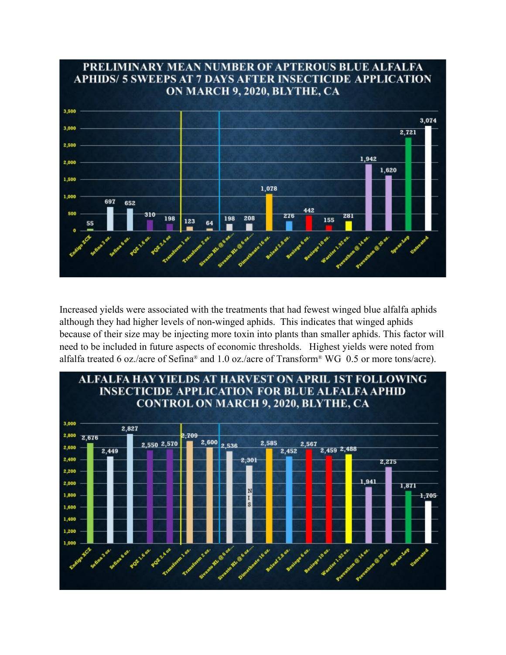

Increased yields were associated with the treatments that had fewest winged blue alfalfa aphids although they had higher levels of non-winged aphids. This indicates that winged aphids because of their size may be injecting more toxin into plants than smaller aphids. This factor will need to be included in future aspects of economic thresholds. Highest yields were noted from alfalfa treated 6 oz./acre of Sefina® and 1.0 oz./acre of Transform® WG 0.5 or more tons/acre).

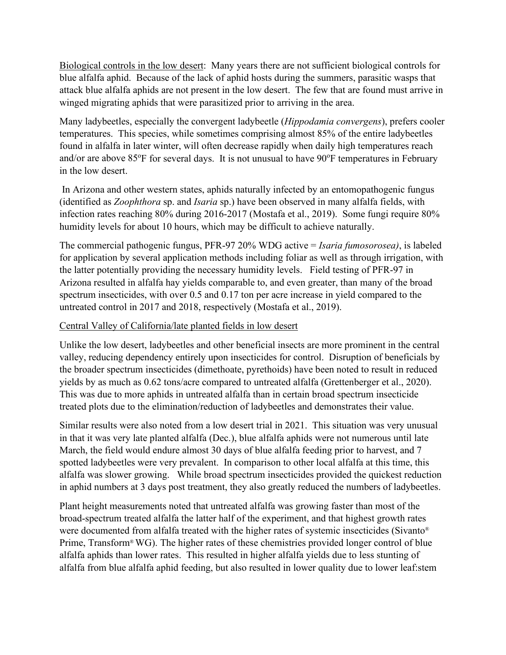Biological controls in the low desert: Many years there are not sufficient biological controls for blue alfalfa aphid. Because of the lack of aphid hosts during the summers, parasitic wasps that attack blue alfalfa aphids are not present in the low desert. The few that are found must arrive in winged migrating aphids that were parasitized prior to arriving in the area.

Many ladybeetles, especially the convergent ladybeetle (*Hippodamia convergens*), prefers cooler temperatures. This species, while sometimes comprising almost 85% of the entire ladybeetles found in alfalfa in later winter, will often decrease rapidly when daily high temperatures reach and/or are above 85°F for several days. It is not unusual to have 90°F temperatures in February in the low desert.

In Arizona and other western states, aphids naturally infected by an entomopathogenic fungus (identified as *Zoophthora* sp. and *Isaria* sp.) have been observed in many alfalfa fields, with infection rates reaching 80% during 2016-2017 (Mostafa et al., 2019). Some fungi require 80% humidity levels for about 10 hours, which may be difficult to achieve naturally.

The commercial pathogenic fungus, PFR-97 20% WDG active = *Isaria fumosorosea)*, is labeled for application by several application methods including foliar as well as through irrigation, with the latter potentially providing the necessary humidity levels. Field testing of PFR-97 in Arizona resulted in alfalfa hay yields comparable to, and even greater, than many of the broad spectrum insecticides, with over 0.5 and 0.17 ton per acre increase in yield compared to the untreated control in 2017 and 2018, respectively (Mostafa et al., 2019).

## Central Valley of California/late planted fields in low desert

Unlike the low desert, ladybeetles and other beneficial insects are more prominent in the central valley, reducing dependency entirely upon insecticides for control. Disruption of beneficials by the broader spectrum insecticides (dimethoate, pyrethoids) have been noted to result in reduced yields by as much as 0.62 tons/acre compared to untreated alfalfa (Grettenberger et al., 2020). This was due to more aphids in untreated alfalfa than in certain broad spectrum insecticide treated plots due to the elimination/reduction of ladybeetles and demonstrates their value.

Similar results were also noted from a low desert trial in 2021. This situation was very unusual in that it was very late planted alfalfa (Dec.), blue alfalfa aphids were not numerous until late March, the field would endure almost 30 days of blue alfalfa feeding prior to harvest, and 7 spotted ladybeetles were very prevalent. In comparison to other local alfalfa at this time, this alfalfa was slower growing. While broad spectrum insecticides provided the quickest reduction in aphid numbers at 3 days post treatment, they also greatly reduced the numbers of ladybeetles.

Plant height measurements noted that untreated alfalfa was growing faster than most of the broad-spectrum treated alfalfa the latter half of the experiment, and that highest growth rates were documented from alfalfa treated with the higher rates of systemic insecticides (Sivanto® Prime, Transform®WG). The higher rates of these chemistries provided longer control of blue alfalfa aphids than lower rates. This resulted in higher alfalfa yields due to less stunting of alfalfa from blue alfalfa aphid feeding, but also resulted in lower quality due to lower leaf:stem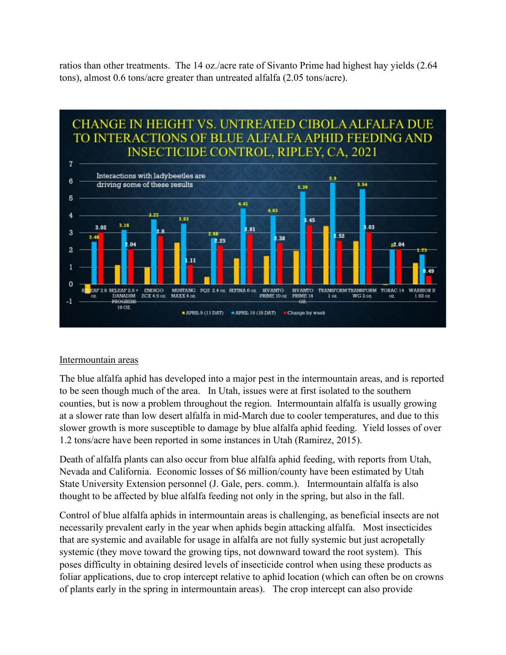ratios than other treatments. The 14 oz./acre rate of Sivanto Prime had highest hay yields (2.64 tons), almost 0.6 tons/acre greater than untreated alfalfa (2.05 tons/acre).



## Intermountain areas

The blue alfalfa aphid has developed into a major pest in the intermountain areas, and is reported to be seen though much of the area. In Utah, issues were at first isolated to the southern counties, but is now a problem throughout the region. Intermountain alfalfa is usually growing at a slower rate than low desert alfalfa in mid-March due to cooler temperatures, and due to this slower growth is more susceptible to damage by blue alfalfa aphid feeding. Yield losses of over 1.2 tons/acre have been reported in some instances in Utah (Ramirez, 2015).

Death of alfalfa plants can also occur from blue alfalfa aphid feeding, with reports from Utah, Nevada and California. Economic losses of \$6 million/county have been estimated by Utah State University Extension personnel (J. Gale, pers. comm.). Intermountain alfalfa is also thought to be affected by blue alfalfa feeding not only in the spring, but also in the fall.

Control of blue alfalfa aphids in intermountain areas is challenging, as beneficial insects are not necessarily prevalent early in the year when aphids begin attacking alfalfa. Most insecticides that are systemic and available for usage in alfalfa are not fully systemic but just acropetally systemic (they move toward the growing tips, not downward toward the root system). This poses difficulty in obtaining desired levels of insecticide control when using these products as foliar applications, due to crop intercept relative to aphid location (which can often be on crowns of plants early in the spring in intermountain areas). The crop intercept can also provide